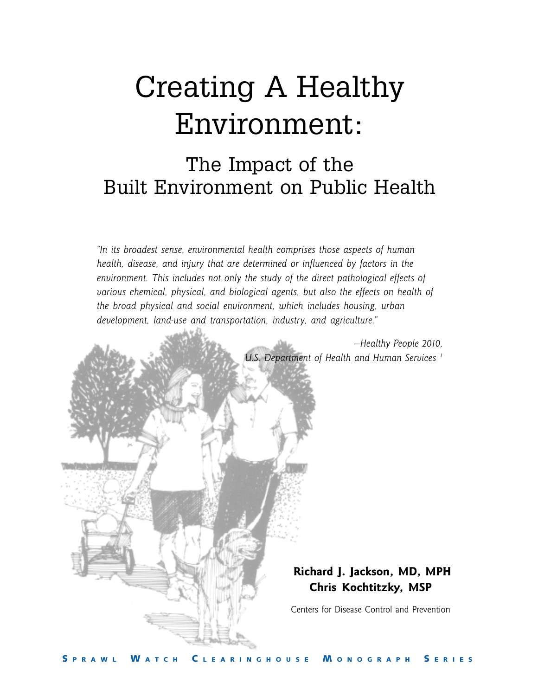# Creating A Healthy Environment:

## The Impact of the Built Environment on Public Health

*"In its broadest sense, environmental health comprises those aspects of human health, disease, and injury that are determined or influenced by factors in the environment. This includes not only the study of the direct pathological effects of various chemical, physical, and biological agents, but also the effects on health of the broad physical and social environment, which includes housing, urban development, land-use and transportation, industry, and agriculture."*

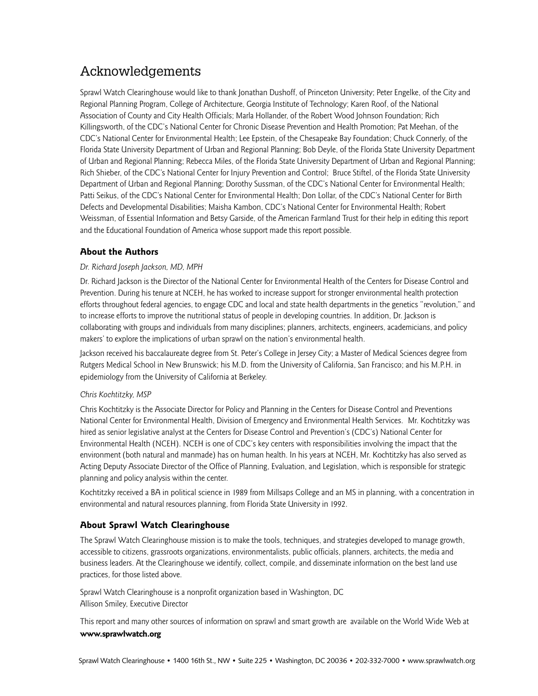## Acknowledgements

Sprawl Watch Clearinghouse would like to thank Jonathan Dushoff, of Princeton University; Peter Engelke, of the City and Regional Planning Program, College of Architecture, Georgia Institute of Technology; Karen Roof, of the National Association of County and City Health Officials; Marla Hollander, of the Robert Wood Johnson Foundation; Rich Killingsworth, of the CDC's National Center for Chronic Disease Prevention and Health Promotion; Pat Meehan, of the CDC's National Center for Environmental Health; Lee Epstein, of the Chesapeake Bay Foundation; Chuck Connerly, of the Florida State University Department of Urban and Regional Planning; Bob Deyle, of the Florida State University Department of Urban and Regional Planning; Rebecca Miles, of the Florida State University Department of Urban and Regional Planning; Rich Shieber, of the CDC's National Center for Injury Prevention and Control; Bruce Stiftel, of the Florida State University Department of Urban and Regional Planning; Dorothy Sussman, of the CDC's National Center for Environmental Health; Patti Seikus, of the CDC's National Center for Environmental Health; Don Lollar, of the CDC's National Center for Birth Defects and Developmental Disabilities; Maisha Kambon, CDC's National Center for Environmental Health; Robert Weissman, of Essential Information and Betsy Garside, of the American Farmland Trust for their help in editing this report and the Educational Foundation of America whose support made this report possible.

#### **About the Authors**

#### *Dr. Richard Joseph Jackson, MD, MPH*

Dr. Richard Jackson is the Director of the National Center for Environmental Health of the Centers for Disease Control and Prevention. During his tenure at NCEH, he has worked to increase support for stronger environmental health protection efforts throughout federal agencies, to engage CDC and local and state health departments in the genetics "revolution," and to increase efforts to improve the nutritional status of people in developing countries. In addition, Dr. Jackson is collaborating with groups and individuals from many disciplines; planners, architects, engineers, academicians, and policy makers' to explore the implications of urban sprawl on the nation's environmental health.

Jackson received his baccalaureate degree from St. Peter's College in Jersey City; a Master of Medical Sciences degree from Rutgers Medical School in New Brunswick; his M.D. from the University of California, San Francisco; and his M.P.H. in epidemiology from the University of California at Berkeley.

#### *Chris Kochtitzky, MSP*

Chris Kochtitzky is the Associate Director for Policy and Planning in the Centers for Disease Control and Preventions National Center for Environmental Health, Division of Emergency and Environmental Health Services.Mr. Kochtitzky was hired as senior legislative analyst at the Centers for Disease Control and Prevention's (CDC's) National Center for Environmental Health (NCEH). NCEH is one of CDC's key centers with responsibilities involving the impact that the environment (both natural and manmade) has on human health. In his years at NCEH, Mr. Kochtitzky has also served as Acting Deputy Associate Director of the Office of Planning, Evaluation, and Legislation, which is responsible for strategic planning and policy analysis within the center.

Kochtitzky received a BA in political science in 1989 from Millsaps College and an MS in planning, with a concentration in environmental and natural resources planning, from Florida State University in 1992.

#### **About Sprawl Watch Clearinghouse**

The Sprawl Watch Clearinghouse mission is to make the tools, techniques, and strategies developed to manage growth, accessible to citizens, grassroots organizations, environmentalists, public officials, planners, architects, the media and business leaders. At the Clearinghouse we identify, collect, compile, and disseminate information on the best land use practices, for those listed above.

Sprawl Watch Clearinghouse is a nonprofit organization based in Washington, DC Allison Smiley, Executive Director

This report and many other sources of information on sprawl and smart growth are available on the World Wide Web at **www.sprawlwatch.org**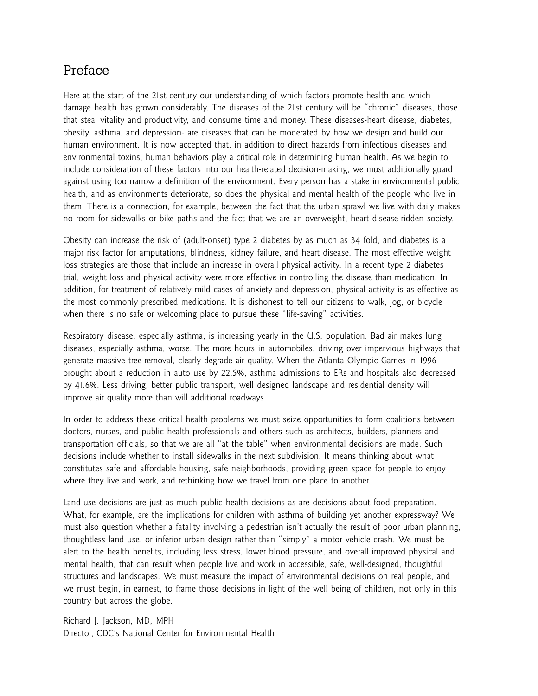#### Preface

Here at the start of the 21st century our understanding of which factors promote health and which damage health has grown considerably. The diseases of the 21st century will be "chronic" diseases, those that steal vitality and productivity, and consume time and money. These diseases-heart disease, diabetes, obesity, asthma, and depression- are diseases that can be moderated by how we design and build our human environment. It is now accepted that, in addition to direct hazards from infectious diseases and environmental toxins, human behaviors play a critical role in determining human health. As we begin to include consideration of these factors into our health-related decision-making, we must additionally guard against using too narrow a definition of the environment. Every person has a stake in environmental public health, and as environments deteriorate, so does the physical and mental health of the people who live in them. There is a connection, for example, between the fact that the urban sprawl we live with daily makes no room for sidewalks or bike paths and the fact that we are an overweight, heart disease-ridden society.

Obesity can increase the risk of (adult-onset) type 2 diabetes by as much as 34 fold, and diabetes is a major risk factor for amputations, blindness, kidney failure, and heart disease. The most effective weight loss strategies are those that include an increase in overall physical activity. In a recent type 2 diabetes trial, weight loss and physical activity were more effective in controlling the disease than medication. In addition, for treatment of relatively mild cases of anxiety and depression, physical activity is as effective as the most commonly prescribed medications. It is dishonest to tell our citizens to walk, jog, or bicycle when there is no safe or welcoming place to pursue these "life-saving" activities.

Respiratory disease, especially asthma, is increasing yearly in the U.S. population. Bad air makes lung diseases, especially asthma, worse. The more hours in automobiles, driving over impervious highways that generate massive tree-removal, clearly degrade air quality. When the Atlanta Olympic Games in 1996 brought about a reduction in auto use by 22.5%, asthma admissions to ERs and hospitals also decreased by 41.6%. Less driving, better public transport, well designed landscape and residential density will improve air quality more than will additional roadways.

In order to address these critical health problems we must seize opportunities to form coalitions between doctors, nurses, and public health professionals and others such as architects, builders, planners and transportation officials, so that we are all "at the table" when environmental decisions are made. Such decisions include whether to install sidewalks in the next subdivision. It means thinking about what constitutes safe and affordable housing, safe neighborhoods, providing green space for people to enjoy where they live and work, and rethinking how we travel from one place to another.

Land-use decisions are just as much public health decisions as are decisions about food preparation. What, for example, are the implications for children with asthma of building yet another expressway? We must also question whether a fatality involving a pedestrian isn't actually the result of poor urban planning, thoughtless land use, or inferior urban design rather than "simply" a motor vehicle crash. We must be alert to the health benefits, including less stress, lower blood pressure, and overall improved physical and mental health, that can result when people live and work in accessible, safe, well-designed, thoughtful structures and landscapes. We must measure the impact of environmental decisions on real people, and we must begin, in earnest, to frame those decisions in light of the well being of children, not only in this country but across the globe.

Richard J. Jackson, MD, MPH Director, CDC's National Center for Environmental Health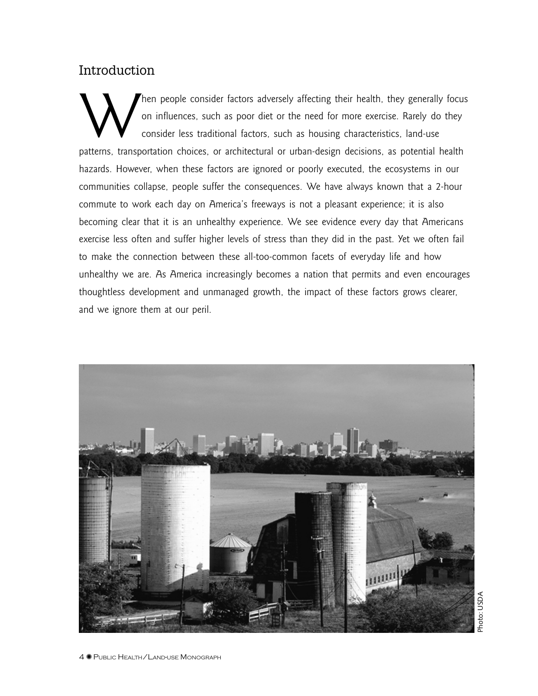#### Introduction

1<br>.<br>.<br>.<br>. Then people consider factors adversely affecting their health, they generally focus<br>on influences, such as poor diet or the need for more exercise. Rarely do they<br>consider less traditional factors, such as housing characte on influences, such as poor diet or the need for more exercise. Rarely do they consider less traditional factors, such as housing characteristics, land-use patterns, transportation choices, or architectural or urban-design decisions, as potential health hazards. However, when these factors are ignored or poorly executed, the ecosystems in our communities collapse, people suffer the consequences. We have always known that a 2-hour commute to work each day on America's freeways is not a pleasant experience; it is also becoming clear that it is an unhealthy experience. We see evidence every day that Americans exercise less often and suffer higher levels of stress than they did in the past. Yet we often fail to make the connection between these all-too-common facets of everyday life and how unhealthy we are. As America increasingly becomes a nation that permits and even encourages thoughtless development and unmanaged growth, the impact of these factors grows clearer, and we ignore them at our peril.



Photo: USDA Photo: USDA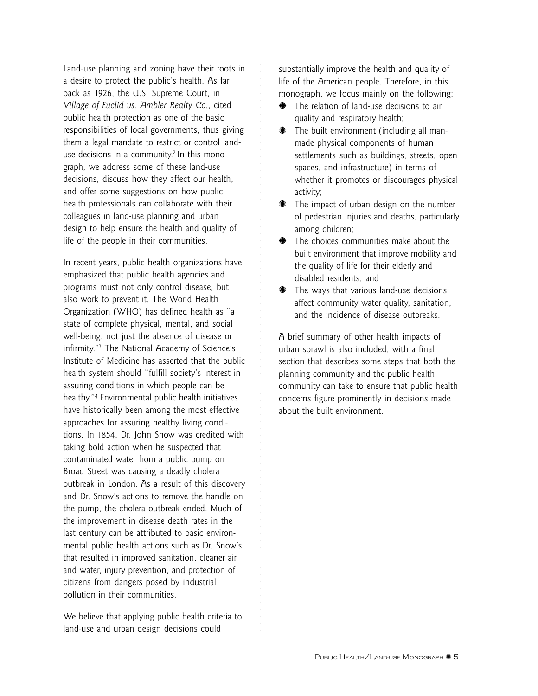Land-use planning and zoning have their roots in a desire to protect the public's health. As far back as 1926, the U.S. Supreme Court, in *Village of Euclid vs. Ambler Realty Co.*, cited public health protection as one of the basic responsibilities of local governments, thus giving them a legal mandate to restrict or control landuse decisions in a community.<sup>2</sup> In this monograph, we address some of these land-use decisions, discuss how they affect our health, and offer some suggestions on how public health professionals can collaborate with their colleagues in land-use planning and urban design to help ensure the health and quality of life of the people in their communities.

In recent years, public health organizations have emphasized that public health agencies and programs must not only control disease, but also work to prevent it. The World Health Organization (WHO) has defined health as "a state of complete physical, mental, and social well-being, not just the absence of disease or infirmity."3 The National Academy of Science's Institute of Medicine has asserted that the public health system should "fulfill society's interest in assuring conditions in which people can be healthy."4 Environmental public health initiatives have historically been among the most effective approaches for assuring healthy living conditions. In 1854, Dr. John Snow was credited with taking bold action when he suspected that contaminated water from a public pump on Broad Street was causing a deadly cholera outbreak in London. As a result of this discovery and Dr. Snow's actions to remove the handle on the pump, the cholera outbreak ended. Much of the improvement in disease death rates in the last century can be attributed to basic environmental public health actions such as Dr. Snow's that resulted in improved sanitation, cleaner air and water, injury prevention, and protection of citizens from dangers posed by industrial pollution in their communities.

We believe that applying public health criteria to land-use and urban design decisions could

substantially improve the health and quality of life of the American people. Therefore, in this monograph, we focus mainly on the following:

✺ The relation of land-use decisions to air quality and respiratory health;

aaaaaaaaaaaaaaaaaaaaa

aaaaaaaaaaaaaaaaaaaaaaaaaaaaaaaaaaaaaaaaaaaaaaaaaaaaaaaaaaaaa

- ✺ The built environment (including all manmade physical components of human settlements such as buildings, streets, open spaces, and infrastructure) in terms of whether it promotes or discourages physical activity;
- ✺ The impact of urban design on the number of pedestrian injuries and deaths, particularly among children;
- ✺ The choices communities make about the built environment that improve mobility and the quality of life for their elderly and disabled residents; and
- ✺ The ways that various land-use decisions affect community water quality, sanitation, and the incidence of disease outbreaks.

A brief summary of other health impacts of urban sprawl is also included, with a final section that describes some steps that both the planning community and the public health community can take to ensure that public health concerns figure prominently in decisions made about the built environment.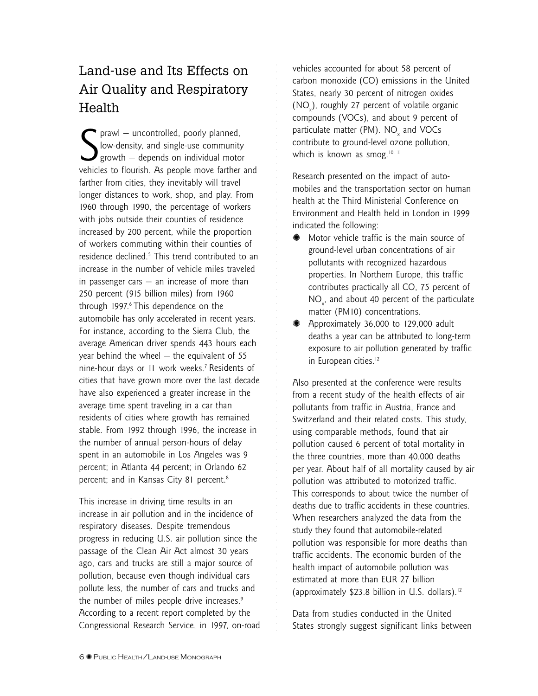## Land-use and Its Effects on Air Quality and Respiratory Health

S prawl – uncontrolled, poorly planned,<br>low-density, and single-use community<br>growth – depends on individual motor<br>vehicles to flourish. As people move farther and prawl — uncontrolled, poorly planned, low-density, and single-use community growth — depends on individual motor farther from cities, they inevitably will travel longer distances to work, shop, and play. From 1960 through 1990, the percentage of workers with jobs outside their counties of residence increased by 200 percent, while the proportion of workers commuting within their counties of residence declined.<sup>5</sup> This trend contributed to an increase in the number of vehicle miles traveled in passenger cars  $-$  an increase of more than 250 percent (915 billion miles) from 1960 through 1997.<sup>6</sup> This dependence on the automobile has only accelerated in recent years. For instance, according to the Sierra Club, the average American driver spends 443 hours each year behind the wheel — the equivalent of 55 nine-hour days or 11 work weeks.7 Residents of cities that have grown more over the last decade have also experienced a greater increase in the average time spent traveling in a car than residents of cities where growth has remained stable. From 1992 through 1996, the increase in the number of annual person-hours of delay spent in an automobile in Los Angeles was 9 percent; in Atlanta 44 percent; in Orlando 62 percent; and in Kansas City 81 percent.<sup>8</sup>

This increase in driving time results in an increase in air pollution and in the incidence of respiratory diseases. Despite tremendous progress in reducing U.S. air pollution since the passage of the Clean Air Act almost 30 years ago, cars and trucks are still a major source of pollution, because even though individual cars pollute less, the number of cars and trucks and the number of miles people drive increases.<sup>9</sup> According to a recent report completed by the Congressional Research Service, in 1997, on-road vehicles accounted for about 58 percent of carbon monoxide (CO) emissions in the United States, nearly 30 percent of nitrogen oxides  $(NO<sub>x</sub>)$ , roughly 27 percent of volatile organic compounds (VOCs), and about 9 percent of particulate matter (PM).  $NO_{\rm x}$  and VOCs contribute to ground-level ozone pollution, which is known as smog.<sup>10, 11</sup>

aaaaaaaaaaaaaaaaaaaaa

aaaaaaaaaaaaaaaaaaaaaaaaaaaaaaaaaaaaaaaaaaaaaaaaaaaaaaaaaaaaa

Research presented on the impact of automobiles and the transportation sector on human health at the Third Ministerial Conference on Environment and Health held in London in 1999 indicated the following:

- Motor vehicle traffic is the main source of ground-level urban concentrations of air pollutants with recognized hazardous properties. In Northern Europe, this traffic contributes practically all CO, 75 percent of  $NO<sub>x</sub>$ , and about 40 percent of the particulate matter (PM10) concentrations.
- Approximately 36,000 to 129,000 adult deaths a year can be attributed to long-term exposure to air pollution generated by traffic in European cities.<sup>12</sup>

Also presented at the conference were results from a recent study of the health effects of air pollutants from traffic in Austria, France and Switzerland and their related costs. This study, using comparable methods, found that air pollution caused 6 percent of total mortality in the three countries, more than 40,000 deaths per year. About half of all mortality caused by air pollution was attributed to motorized traffic. This corresponds to about twice the number of deaths due to traffic accidents in these countries. When researchers analyzed the data from the study they found that automobile-related pollution was responsible for more deaths than traffic accidents. The economic burden of the health impact of automobile pollution was estimated at more than EUR 27 billion (approximately  $$23.8$  billion in U.S. dollars).<sup>12</sup>

Data from studies conducted in the United States strongly suggest significant links between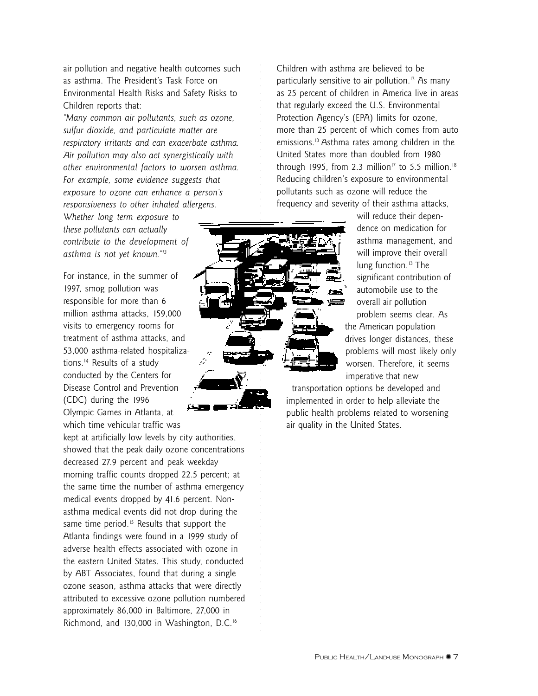air pollution and negative health outcomes such as asthma. The President's Task Force on Environmental Health Risks and Safety Risks to Children reports that:

*"Many common air pollutants, such as ozone, sulfur dioxide, and particulate matter are respiratory irritants and can exacerbate asthma. Air pollution may also act synergistically with other environmental factors to worsen asthma. For example, some evidence suggests that exposure to ozone can enhance a person's responsiveness to other inhaled allergens.*

*Whether long term exposure to these pollutants can actually contribute to the development of asthma is not yet known."13*

For instance, in the summer of 1997, smog pollution was responsible for more than 6 million asthma attacks, 159,000 visits to emergency rooms for treatment of asthma attacks, and 53,000 asthma-related hospitalizations.14 Results of a study conducted by the Centers for Disease Control and Prevention (CDC) during the 1996 Olympic Games in Atlanta, at which time vehicular traffic was

kept at artificially low levels by city authorities, showed that the peak daily ozone concentrations decreased 27.9 percent and peak weekday morning traffic counts dropped 22.5 percent; at the same time the number of asthma emergency medical events dropped by 41.6 percent. Nonasthma medical events did not drop during the same time period.<sup>15</sup> Results that support the Atlanta findings were found in a 1999 study of adverse health effects associated with ozone in the eastern United States. This study, conducted by ABT Associates, found that during a single ozone season, asthma attacks that were directly attributed to excessive ozone pollution numbered approximately 86,000 in Baltimore, 27,000 in Richmond, and 130,000 in Washington, D.C.16

Children with asthma are believed to be particularly sensitive to air pollution.<sup>13</sup> As many as 25 percent of children in America live in areas that regularly exceed the U.S. Environmental Protection Agency's (EPA) limits for ozone, more than 25 percent of which comes from auto emissions.13 Asthma rates among children in the United States more than doubled from 1980 through 1995, from 2.3 million<sup>17</sup> to 5.5 million.<sup>18</sup> Reducing children's exposure to environmental pollutants such as ozone will reduce the frequency and severity of their asthma attacks,



aaaaaaaaaaaaaaaaaaaaa

will reduce their dependence on medication for asthma management, and will improve their overall lung function.<sup>13</sup> The significant contribution of automobile use to the overall air pollution problem seems clear. As the American population drives longer distances, these problems will most likely only worsen. Therefore, it seems

imperative that new transportation options be developed and implemented in order to help alleviate the public health problems related to worsening air quality in the United States.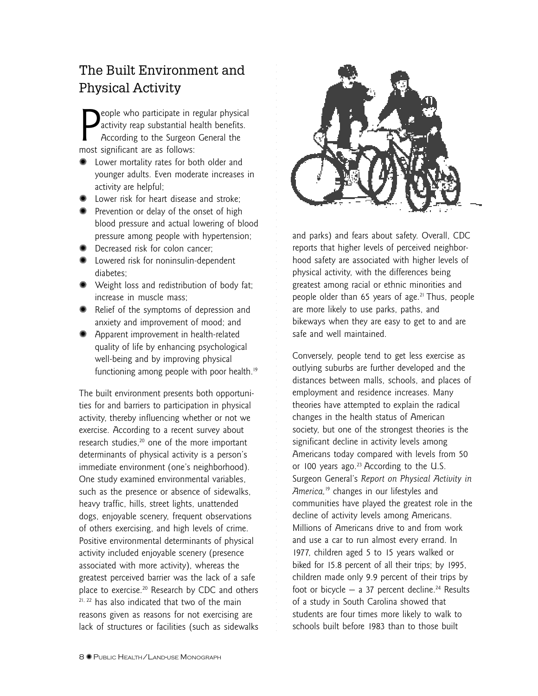## The Built Environment and Physical Activity

**P**eople who participate in r<br>activity reap substantial h<br>According to the Surgeon<br>most significant are as follows: eople who participate in regular physical activity reap substantial health benefits. According to the Surgeon General the

- ✺ Lower mortality rates for both older and younger adults. Even moderate increases in activity are helpful;
- ✺ Lower risk for heart disease and stroke;
- ✺ Prevention or delay of the onset of high blood pressure and actual lowering of blood pressure among people with hypertension;
- ✺ Decreased risk for colon cancer;
- ✺ Lowered risk for noninsulin-dependent diabetes;
- ✺ Weight loss and redistribution of body fat; increase in muscle mass;
- ✺ Relief of the symptoms of depression and anxiety and improvement of mood; and
- ✺ Apparent improvement in health-related quality of life by enhancing psychological well-being and by improving physical functioning among people with poor health.<sup>19</sup>

The built environment presents both opportunities for and barriers to participation in physical activity, thereby influencing whether or not we exercise. According to a recent survey about research studies,<sup>20</sup> one of the more important determinants of physical activity is a person's immediate environment (one's neighborhood). One study examined environmental variables, such as the presence or absence of sidewalks, heavy traffic, hills, street lights, unattended dogs, enjoyable scenery, frequent observations of others exercising, and high levels of crime. Positive environmental determinants of physical activity included enjoyable scenery (presence associated with more activity), whereas the greatest perceived barrier was the lack of a safe place to exercise.20 Research by CDC and others <sup>21, 22</sup> has also indicated that two of the main reasons given as reasons for not exercising are lack of structures or facilities (such as sidewalks



and parks) and fears about safety. Overall, CDC reports that higher levels of perceived neighborhood safety are associated with higher levels of physical activity, with the differences being greatest among racial or ethnic minorities and people older than 65 years of age.<sup>21</sup> Thus, people are more likely to use parks, paths, and bikeways when they are easy to get to and are safe and well maintained.

Conversely, people tend to get less exercise as outlying suburbs are further developed and the distances between malls, schools, and places of employment and residence increases. Many theories have attempted to explain the radical changes in the health status of American society, but one of the strongest theories is the significant decline in activity levels among Americans today compared with levels from 50 or 100 years ago. $23$  According to the U.S. Surgeon General's *Report on Physical Activity in America,*19 changes in our lifestyles and communities have played the greatest role in the decline of activity levels among Americans. Millions of Americans drive to and from work and use a car to run almost every errand. In 1977, children aged 5 to 15 years walked or biked for 15.8 percent of all their trips; by 1995, children made only 9.9 percent of their trips by foot or bicycle  $-$  a 37 percent decline.<sup>24</sup> Results of a study in South Carolina showed that students are four times more likely to walk to schools built before 1983 than to those built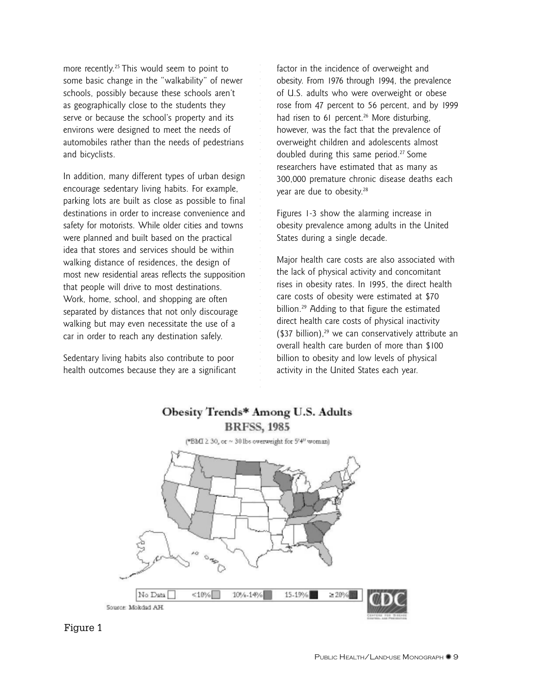more recently.<sup>25</sup> This would seem to point to some basic change in the "walkability" of newer schools, possibly because these schools aren't as geographically close to the students they serve or because the school's property and its environs were designed to meet the needs of automobiles rather than the needs of pedestrians and bicyclists.

In addition, many different types of urban design encourage sedentary living habits. For example, parking lots are built as close as possible to final destinations in order to increase convenience and safety for motorists. While older cities and towns were planned and built based on the practical idea that stores and services should be within walking distance of residences, the design of most new residential areas reflects the supposition that people will drive to most destinations. Work, home, school, and shopping are often separated by distances that not only discourage walking but may even necessitate the use of a car in order to reach any destination safely.

Sedentary living habits also contribute to poor health outcomes because they are a significant factor in the incidence of overweight and obesity. From 1976 through 1994, the prevalence of U.S. adults who were overweight or obese rose from 47 percent to 56 percent, and by 1999 had risen to 61 percent.<sup>26</sup> More disturbing, however, was the fact that the prevalence of overweight children and adolescents almost doubled during this same period.<sup>27</sup> Some researchers have estimated that as many as 300,000 premature chronic disease deaths each year are due to obesity.<sup>28</sup>

Figures 1-3 show the alarming increase in obesity prevalence among adults in the United States during a single decade.

Major health care costs are also associated with the lack of physical activity and concomitant rises in obesity rates. In 1995, the direct health care costs of obesity were estimated at \$70 billion.29 Adding to that figure the estimated direct health care costs of physical inactivity ( $$37$  billion),<sup>29</sup> we can conservatively attribute an overall health care burden of more than \$100 billion to obesity and low levels of physical activity in the United States each year.

#### Obesity Trends\* Among U.S. Adults **BRFSS, 1985**

aaaaaaaaaaaaaaaaaaaaa



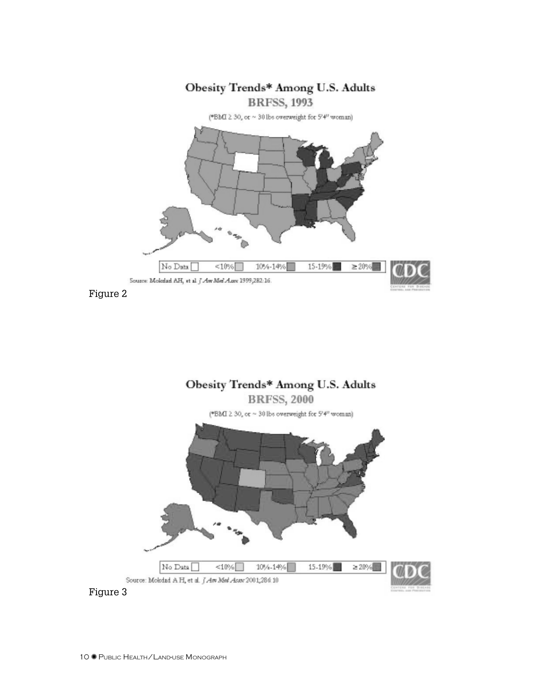

Figure 2

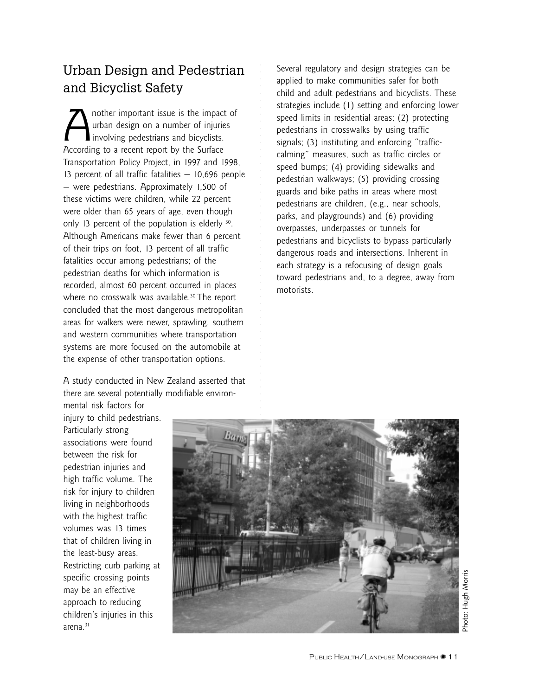#### Urban Design and Pedestrian and Bicyclist Safety

aaaaaaaaaaaaaaaaaaaaa

Another important issue is the impact of<br>urban design on a number of injuries<br>involving pedestrians and bicyclists. urban design on a number of injuries involving pedestrians and bicyclists. According to a recent report by the Surface Transportation Policy Project, in 1997 and 1998, 13 percent of all traffic fatalities — 10,696 people — were pedestrians. Approximately 1,500 of these victims were children, while 22 percent were older than 65 years of age, even though only 13 percent of the population is elderly 30. Although Americans make fewer than 6 percent of their trips on foot, 13 percent of all traffic fatalities occur among pedestrians; of the pedestrian deaths for which information is recorded, almost 60 percent occurred in places where no crosswalk was available.<sup>30</sup> The report concluded that the most dangerous metropolitan areas for walkers were newer, sprawling, southern and western communities where transportation systems are more focused on the automobile at the expense of other transportation options.

A study conducted in New Zealand asserted that there are several potentially modifiable environSeveral regulatory and design strategies can be applied to make communities safer for both child and adult pedestrians and bicyclists. These strategies include (1) setting and enforcing lower speed limits in residential areas; (2) protecting pedestrians in crosswalks by using traffic signals; (3) instituting and enforcing "trafficcalming" measures, such as traffic circles or speed bumps; (4) providing sidewalks and pedestrian walkways; (5) providing crossing guards and bike paths in areas where most pedestrians are children, (e.g., near schools, parks, and playgrounds) and (6) providing overpasses, underpasses or tunnels for pedestrians and bicyclists to bypass particularly dangerous roads and intersections. Inherent in each strategy is a refocusing of design goals toward pedestrians and, to a degree, away from motorists.

mental risk factors for injury to child pedestrians. Particularly strong associations were found between the risk for pedestrian injuries and high traffic volume. The risk for injury to children living in neighborhoods with the highest traffic volumes was 13 times that of children living in the least-busy areas. Restricting curb parking at specific crossing points may be an effective approach to reducing children's injuries in this arena.31

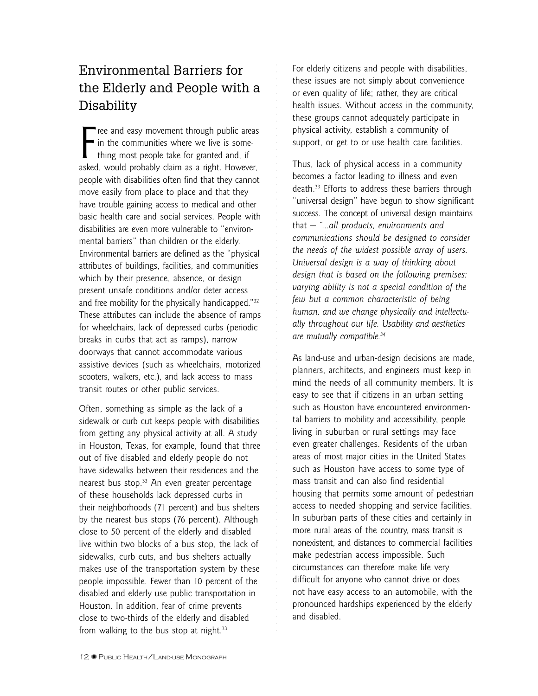## Environmental Barriers for the Elderly and People with a Disability

Free and easy movement through public areas<br>in the communities where we live is some-<br>thing most people take for granted and, if<br>asked, would probably claim as a right. However, ree and easy movement through public areas in the communities where we live is something most people take for granted and, if people with disabilities often find that they cannot move easily from place to place and that they have trouble gaining access to medical and other basic health care and social services. People with disabilities are even more vulnerable to "environmental barriers" than children or the elderly. Environmental barriers are defined as the "physical attributes of buildings, facilities, and communities which by their presence, absence, or design present unsafe conditions and/or deter access and free mobility for the physically handicapped."32 These attributes can include the absence of ramps for wheelchairs, lack of depressed curbs (periodic breaks in curbs that act as ramps), narrow doorways that cannot accommodate various assistive devices (such as wheelchairs, motorized scooters, walkers, etc.), and lack access to mass transit routes or other public services.

Often, something as simple as the lack of a sidewalk or curb cut keeps people with disabilities from getting any physical activity at all. A study in Houston, Texas, for example, found that three out of five disabled and elderly people do not have sidewalks between their residences and the nearest bus stop.<sup>33</sup> An even greater percentage of these households lack depressed curbs in their neighborhoods (71 percent) and bus shelters by the nearest bus stops (76 percent). Although close to 50 percent of the elderly and disabled live within two blocks of a bus stop, the lack of sidewalks, curb cuts, and bus shelters actually makes use of the transportation system by these people impossible. Fewer than 10 percent of the disabled and elderly use public transportation in Houston. In addition, fear of crime prevents close to two-thirds of the elderly and disabled from walking to the bus stop at night. $33$ 

For elderly citizens and people with disabilities, these issues are not simply about convenience or even quality of life; rather, they are critical health issues. Without access in the community, these groups cannot adequately participate in physical activity, establish a community of support, or get to or use health care facilities.

aaaaaaaaaaaaaaaaaaaaa

aaaaaaaaaaaaaaaaaaaaaaaaaaaaaaaaaaaaaaaaaaaaaaaaaaaaaaaaaaaaa

Thus, lack of physical access in a community becomes a factor leading to illness and even death.33 Efforts to address these barriers through "universal design" have begun to show significant success. The concept of universal design maintains that — *"…all products, environments and communications should be designed to consider the needs of the widest possible array of users. Universal design is a way of thinking about design that is based on the following premises: varying ability is not a special condition of the few but a common characteristic of being human, and we change physically and intellectually throughout our life. Usability and aesthetics are mutually compatible.34*

As land-use and urban-design decisions are made, planners, architects, and engineers must keep in mind the needs of all community members. It is easy to see that if citizens in an urban setting such as Houston have encountered environmental barriers to mobility and accessibility, people living in suburban or rural settings may face even greater challenges. Residents of the urban areas of most major cities in the United States such as Houston have access to some type of mass transit and can also find residential housing that permits some amount of pedestrian access to needed shopping and service facilities. In suburban parts of these cities and certainly in more rural areas of the country, mass transit is nonexistent, and distances to commercial facilities make pedestrian access impossible. Such circumstances can therefore make life very difficult for anyone who cannot drive or does not have easy access to an automobile, with the pronounced hardships experienced by the elderly and disabled.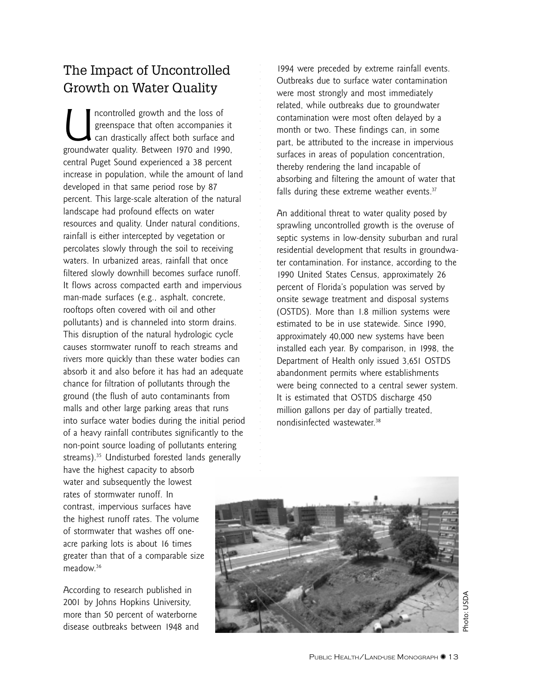#### The Impact of Uncontrolled Growth on Water Quality

Incontrolled growth and the loss of<br>greenspace that often accompanies<br>can drastically affect both surface a<br>groundwater quality. Between 1970 and 199 greenspace that often accompanies it can drastically affect both surface and groundwater quality. Between 1970 and 1990, central Puget Sound experienced a 38 percent increase in population, while the amount of land developed in that same period rose by 87 percent. This large-scale alteration of the natural landscape had profound effects on water resources and quality. Under natural conditions, rainfall is either intercepted by vegetation or percolates slowly through the soil to receiving waters. In urbanized areas, rainfall that once filtered slowly downhill becomes surface runoff. It flows across compacted earth and impervious man-made surfaces (e.g., asphalt, concrete, rooftops often covered with oil and other pollutants) and is channeled into storm drains. This disruption of the natural hydrologic cycle causes stormwater runoff to reach streams and rivers more quickly than these water bodies can absorb it and also before it has had an adequate chance for filtration of pollutants through the ground (the flush of auto contaminants from malls and other large parking areas that runs into surface water bodies during the initial period of a heavy rainfall contributes significantly to the non-point source loading of pollutants entering streams).35 Undisturbed forested lands generally have the highest capacity to absorb water and subsequently the lowest rates of stormwater runoff. In contrast, impervious surfaces have the highest runoff rates. The volume of stormwater that washes off oneacre parking lots is about 16 times greater than that of a comparable size

According to research published in 2001 by Johns Hopkins University, more than 50 percent of waterborne disease outbreaks between 1948 and

meadow.36

1994 were preceded by extreme rainfall events. Outbreaks due to surface water contamination were most strongly and most immediately related, while outbreaks due to groundwater contamination were most often delayed by a month or two. These findings can, in some part, be attributed to the increase in impervious surfaces in areas of population concentration, thereby rendering the land incapable of absorbing and filtering the amount of water that falls during these extreme weather events. $37$ 

aaaaaaaaaaaaaaaaaaaaa

An additional threat to water quality posed by sprawling uncontrolled growth is the overuse of septic systems in low-density suburban and rural residential development that results in groundwater contamination. For instance, according to the 1990 United States Census, approximately 26 percent of Florida's population was served by onsite sewage treatment and disposal systems (OSTDS). More than 1.8 million systems were estimated to be in use statewide. Since 1990, approximately 40,000 new systems have been installed each year. By comparison, in 1998, the Department of Health only issued 3,651 OSTDS abandonment permits where establishments were being connected to a central sewer system. It is estimated that OSTDS discharge 450 million gallons per day of partially treated, nondisinfected wastewater.38

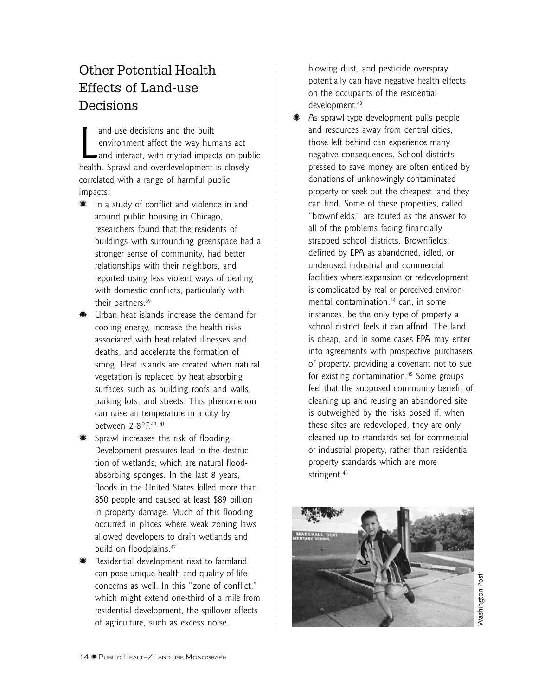## Other Potential Health Effects of Land-use Decisions

and-use decisions and the built<br>environment affect the way humans act<br>and interact, with myriad impacts on pul<br>health. Sprawl and overdevelopment is closely and-use decisions and the built environment affect the way humans act and interact, with myriad impacts on public correlated with a range of harmful public impacts:

aaaaaaaaaaaaaaaaaaaaa

aaaaaaaaaaaaaaaaaaaaaaaaaaaaaaaaaaaaaaaaaaaaaaaaaaaaaaaaaaaaa

- ✺ In a study of conflict and violence in and around public housing in Chicago, researchers found that the residents of buildings with surrounding greenspace had a stronger sense of community, had better relationships with their neighbors, and reported using less violent ways of dealing with domestic conflicts, particularly with their partners.39
- ✺ Urban heat islands increase the demand for cooling energy, increase the health risks associated with heat-related illnesses and deaths, and accelerate the formation of smog. Heat islands are created when natural vegetation is replaced by heat-absorbing surfaces such as building roofs and walls, parking lots, and streets. This phenomenon can raise air temperature in a city by between 2-8°F.40, 41
- ✺ Sprawl increases the risk of flooding. Development pressures lead to the destruction of wetlands, which are natural floodabsorbing sponges. In the last 8 years, floods in the United States killed more than 850 people and caused at least \$89 billion in property damage. Much of this flooding occurred in places where weak zoning laws allowed developers to drain wetlands and build on floodplains.<sup>42</sup>
- ✺ Residential development next to farmland can pose unique health and quality-of-life concerns as well. In this "zone of conflict," which might extend one-third of a mile from residential development, the spillover effects of agriculture, such as excess noise,

blowing dust, and pesticide overspray potentially can have negative health effects on the occupants of the residential development.<sup>43</sup>

As sprawl-type development pulls people and resources away from central cities, those left behind can experience many negative consequences. School districts pressed to save money are often enticed by donations of unknowingly contaminated property or seek out the cheapest land they can find. Some of these properties, called "brownfields," are touted as the answer to all of the problems facing financially strapped school districts. Brownfields, defined by EPA as abandoned, idled, or underused industrial and commercial facilities where expansion or redevelopment is complicated by real or perceived environmental contamination,<sup>44</sup> can, in some instances, be the only type of property a school district feels it can afford. The land is cheap, and in some cases EPA may enter into agreements with prospective purchasers of property, providing a covenant not to sue for existing contamination.<sup>45</sup> Some groups feel that the supposed community benefit of cleaning up and reusing an abandoned site is outweighed by the risks posed if, when these sites are redeveloped, they are only cleaned up to standards set for commercial or industrial property, rather than residential property standards which are more stringent.46



**Nashington Post** Washington Post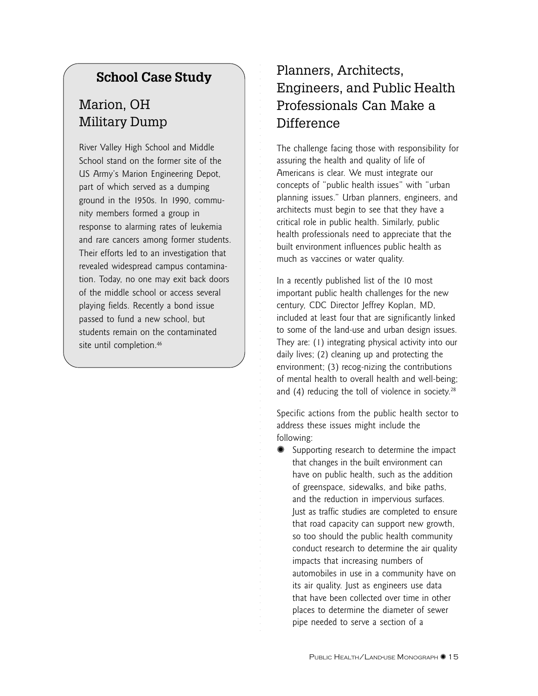#### **School Case Study**

## Marion, OH Military Dump

River Valley High School and Middle School stand on the former site of the US Army's Marion Engineering Depot, part of which served as a dumping ground in the 1950s. In 1990, community members formed a group in response to alarming rates of leukemia and rare cancers among former students. Their efforts led to an investigation that revealed widespread campus contamination. Today, no one may exit back doors of the middle school or access several playing fields. Recently a bond issue passed to fund a new school, but students remain on the contaminated site until completion.<sup>46</sup>

## Planners, Architects, Engineers, and Public Health Professionals Can Make a Difference

aaaaaaaaaaaaaaaaaaaaa

aaaaaaaaaaaaaaaaaaaaaaaaaaaaaaaaaaaaaaaaaaaaaaaaaaaaaaaaaaaaa

The challenge facing those with responsibility for assuring the health and quality of life of Americans is clear. We must integrate our concepts of "public health issues" with "urban planning issues." Urban planners, engineers, and architects must begin to see that they have a critical role in public health. Similarly, public health professionals need to appreciate that the built environment influences public health as much as vaccines or water quality.

In a recently published list of the 10 most important public health challenges for the new century, CDC Director Jeffrey Koplan, MD, included at least four that are significantly linked to some of the land-use and urban design issues. They are: (1) integrating physical activity into our daily lives; (2) cleaning up and protecting the environment; (3) recog-nizing the contributions of mental health to overall health and well-being; and  $(4)$  reducing the toll of violence in society.<sup>28</sup>

Specific actions from the public health sector to address these issues might include the following:

Supporting research to determine the impact that changes in the built environment can have on public health, such as the addition of greenspace, sidewalks, and bike paths, and the reduction in impervious surfaces. Just as traffic studies are completed to ensure that road capacity can support new growth, so too should the public health community conduct research to determine the air quality impacts that increasing numbers of automobiles in use in a community have on its air quality. Just as engineers use data that have been collected over time in other places to determine the diameter of sewer pipe needed to serve a section of a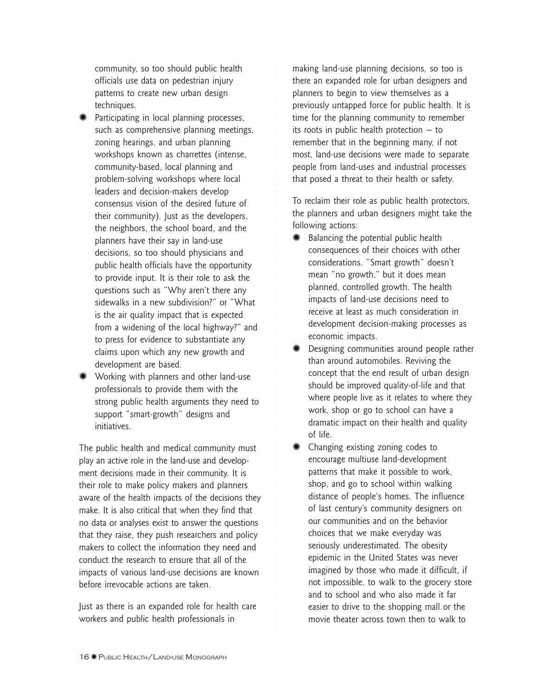community, so too should public health officials use data on pedestrian injury patterns to create new urban design techniques.

- ✺ Participating in local planning processes, such as comprehensive planning meetings, zoning hearings, and urban planning workshops known as charrettes (intense, community-based, local planning and problem-solving workshops where local leaders and decision-makers develop consensus vision of the desired future of their community). Just as the developers, the neighbors, the school board, and the planners have their say in land-use decisions, so too should physicians and public health officials have the opportunity to provide input. It is their role to ask the questions such as "Why aren't there any sidewalks in a new subdivision?" or "What is the air quality impact that is expected from a widening of the local highway?" and to press for evidence to substantiate any claims upon which any new growth and development are based.
- ✺ Working with planners and other land-use professionals to provide them with the strong public health arguments they need to support "smart-growth" designs and initiatives.

The public health and medical community must play an active role in the land-use and development decisions made in their community. It is their role to make policy makers and planners aware of the health impacts of the decisions they make. It is also critical that when they find that no data or analyses exist to answer the questions that they raise, they push researchers and policy makers to collect the information they need and conduct the research to ensure that all of the impacts of various land-use decisions are known before irrevocable actions are taken.

Just as there is an expanded role for health care workers and public health professionals in

making land-use planning decisions, so too is there an expanded role for urban designers and planners to begin to view themselves as a previously untapped force for public health. It is time for the planning community to remember its roots in public health protection — to remember that in the beginning many, if not most, land-use decisions were made to separate people from land-uses and industrial processes that posed a threat to their health or safety.

aaaaaaaaaaaaaaaaaaaaa

aaaaaaaaaaaaaaaaaaaaaaaaaaaaaaaaaaaaaaaaaaaaaaaaaaaaaaaaaaaaa

To reclaim their role as public health protectors, the planners and urban designers might take the following actions:

- ✺ Balancing the potential public health consequences of their choices with other considerations. "Smart growth" doesn't mean "no growth," but it does mean planned, controlled growth. The health impacts of land-use decisions need to receive at least as much consideration in development decision-making processes as economic impacts.
- ✺ Designing communities around people rather than around automobiles. Reviving the concept that the end result of urban design should be improved quality-of-life and that where people live as it relates to where they work, shop or go to school can have a dramatic impact on their health and quality of life.
- ✺ Changing existing zoning codes to encourage multiuse land-development patterns that make it possible to work, shop, and go to school within walking distance of people's homes. The influence of last century's community designers on our communities and on the behavior choices that we make everyday was seriously underestimated. The obesity epidemic in the United States was never imagined by those who made it difficult, if not impossible, to walk to the grocery store and to school and who also made it far easier to drive to the shopping mall or the movie theater across town then to walk to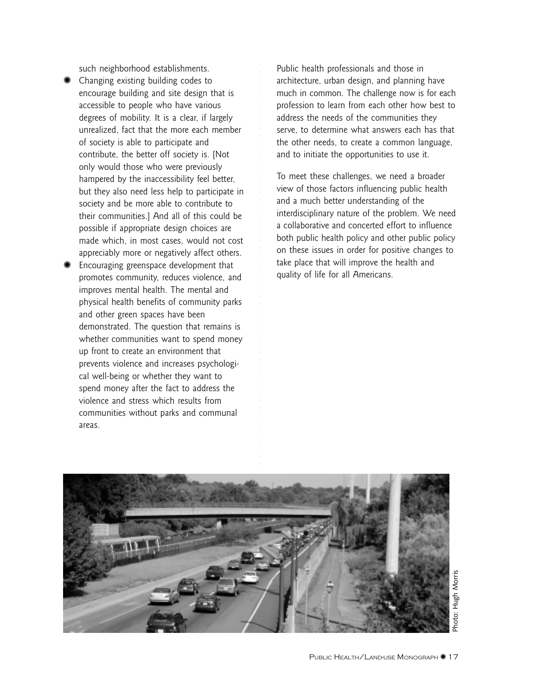such neighborhood establishments.

- ✺ Changing existing building codes to encourage building and site design that is accessible to people who have various degrees of mobility. It is a clear, if largely unrealized, fact that the more each member of society is able to participate and contribute, the better off society is. [Not only would those who were previously hampered by the inaccessibility feel better, but they also need less help to participate in society and be more able to contribute to their communities.] And all of this could be possible if appropriate design choices are made which, in most cases, would not cost appreciably more or negatively affect others.
- ✺ Encouraging greenspace development that promotes community, reduces violence, and improves mental health. The mental and physical health benefits of community parks and other green spaces have been demonstrated. The question that remains is whether communities want to spend money up front to create an environment that prevents violence and increases psychological well-being or whether they want to spend money after the fact to address the violence and stress which results from communities without parks and communal areas.

Public health professionals and those in architecture, urban design, and planning have much in common. The challenge now is for each profession to learn from each other how best to address the needs of the communities they serve, to determine what answers each has that the other needs, to create a common language, and to initiate the opportunities to use it.

To meet these challenges, we need a broader view of those factors influencing public health and a much better understanding of the interdisciplinary nature of the problem. We need a collaborative and concerted effort to influence both public health policy and other public policy on these issues in order for positive changes to take place that will improve the health and quality of life for all Americans.



aaaaaaaaaaaaaaaaaaaaa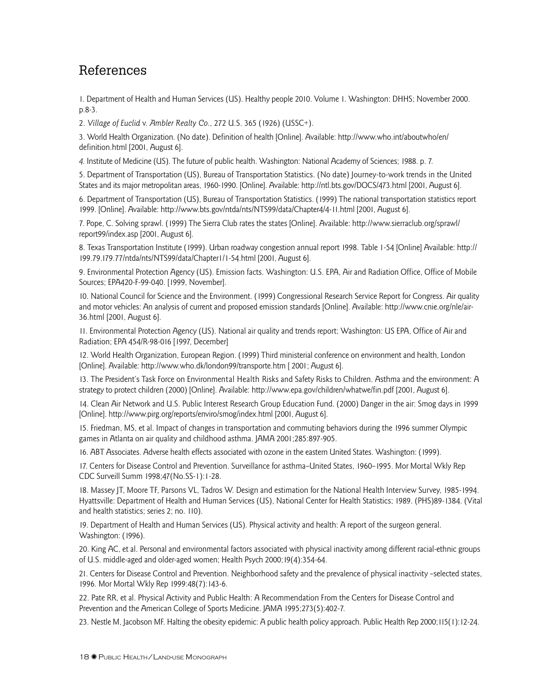#### References

1. Department of Health and Human Services (US). Healthy people 2010. Volume 1. Washington: DHHS; November 2000. p.8-3.

2. *Village of Euclid* v. *Ambler Realty Co*., 272 U.S. 365 (1926) (USSC+).

3. World Health Organization. (No date). Definition of health [Online]. Available: http://www.who.int/aboutwho/en/ definition.html [2001, August 6].

*4.* Institute of Medicine (US). The future of public health. Washington: National Academy of Sciences; 1988. p. 7.

5. Department of Transportation (US), Bureau of Transportation Statistics. (No date) Journey-to-work trends in the United States and its major metropolitan areas, 1960-1990. [Online]. Available: http://ntl.bts.gov/DOCS/473.html [2001, August 6].

6. Department of Transportation (US), Bureau of Transportation Statistics. (1999) The national transportation statistics report 1999. [Online]. Available: http://www.bts.gov/ntda/nts/NTS99/data/Chapter4/4-11.html [2001, August 6].

7. Pope, C. Solving sprawl. (1999) The Sierra Club rates the states [Online]. Available: http://www.sierraclub.org/sprawl/ report99/index.asp [2001, August 6].

8. Texas Transportation Institute (1999). Urban roadway congestion annual report 1998. Table 1-54 [Online] Available: http:// 199.79.179.77/ntda/nts/NTS99/data/Chapter1/1-54.html [2001, August 6].

9. Environmental Protection Agency (US). Emission facts. Washington: U.S. EPA, Air and Radiation Office, Office of Mobile Sources; EPA420-F-99-040. [1999, November].

10. National Council for Science and the Environment. (1999) Congressional Research Service Report for Congress. Air quality and motor vehicles: An analysis of current and proposed emission standards [Online]. Available: http://www.cnie.org/nle/air-36.html [2001, August 6].

11. Environmental Protection Agency (US). National air quality and trends report; Washington: US EPA, Office of Air and Radiation; EPA 454/R-98-016 [1997, December]

12. World Health Organization, European Region. (1999) Third ministerial conference on environment and health, London [Online]. Available: http://www.who.dk/london99/transporte.htm [ 2001; August 6].

13. The President's Task Force on Environmental Health Risks and Safety Risks to Children. Asthma and the environment: A strategy to protect children (2000) [Online]. Available: http://www.epa.gov/children/whatwe/fin.pdf [2001, August 6].

14. Clean Air Network and U.S. Public Interest Research Group Education Fund. (2000) Danger in the air: Smog days in 1999 [Online]. http://www.pirg.org/reports/enviro/smog/index.html [2001, August 6].

15. Friedman, MS, et al. Impact of changes in transportation and commuting behaviors during the 1996 summer Olympic games in Atlanta on air quality and childhood asthma. JAMA 2001;285:897-905.

16. ABT Associates. Adverse health effects associated with ozone in the eastern United States. Washington: (1999).

17. Centers for Disease Control and Prevention. Surveillance for asthma–United States, 1960–1995. Mor Mortal Wkly Rep CDC Surveill Summ 1998;47(No.SS-1):1-28.

18. Massey JT, Moore TF, Parsons VL, Tadros W. Design and estimation for the National Health Interview Survey, 1985-1994. Hyattsville: Department of Health and Human Services (US), National Center for Health Statistics; 1989. (PHS)89-1384. (Vital and health statistics; series 2; no. 110).

19. Department of Health and Human Services (US). Physical activity and health: A report of the surgeon general. Washington: (1996).

20. King AC, et al. Personal and environmental factors associated with physical inactivity among different racial-ethnic groups of U.S. middle-aged and older-aged women; Health Psych 2000;19(4):354-64.

21. Centers for Disease Control and Prevention. Neighborhood safety and the prevalence of physical inactivity –selected states, 1996. Mor Mortal Wkly Rep 1999:48(7):143-6.

22. Pate RR, et al. Physical Activity and Public Health: A Recommendation From the Centers for Disease Control and Prevention and the American College of Sports Medicine. JAMA 1995;273(5):402-7.

23. Nestle M, Jacobson MF. Halting the obesity epidemic: A public health policy approach. Public Health Rep 2000;115(1):12-24.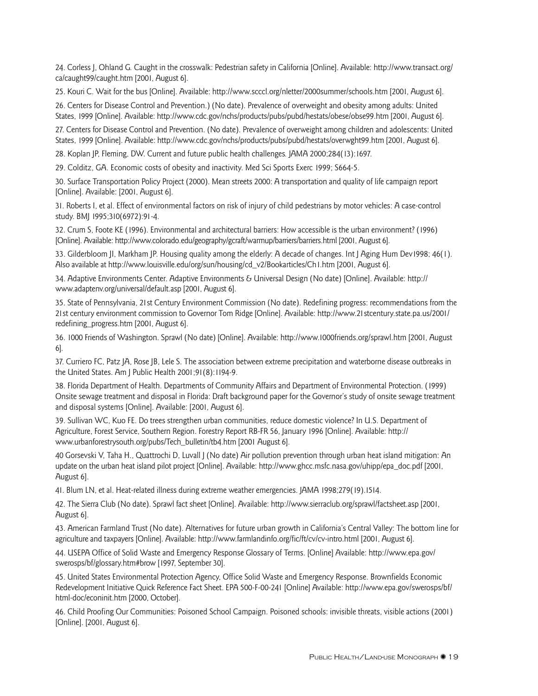24. Corless J, Ohland G*.* Caught in the crosswalk: Pedestrian safety in California [Online]. Available: http://www.transact.org/ ca/caught99/caught.htm [2001, August 6].

25. Kouri C. Wait for the bus [Online]. Available: http://www.scccl.org/nletter/2000summer/schools.htm [2001, August 6].

26. Centers for Disease Control and Prevention.) (No date). Prevalence of overweight and obesity among adults: United States, 1999 [Online]. Available: http://www.cdc.gov/nchs/products/pubs/pubd/hestats/obese/obse99.htm [2001, August 6].

27. Centers for Disease Control and Prevention. (No date). Prevalence of overweight among children and adolescents: United States, 1999 [Online]. Available: http://www.cdc.gov/nchs/products/pubs/pubd/hestats/overwght99.htm [2001, August 6].

28. Koplan JP, Fleming, DW. Current and future public health challenges*.* JAMA 2000;284(13):1697.

29. Colditz, GA. Economic costs of obesity and inactivity. Med Sci Sports Exerc 1999; S664-5.

30. Surface Transportation Policy Project (2000). Mean streets 2000: A transportation and quality of life campaign report [Online]. Available: [2001, August 6].

31. Roberts I, et al. Effect of environmental factors on risk of injury of child pedestrians by motor vehicles: A case-control study. BMJ 1995;310(6972):91-4.

32. Crum S, Foote KE (1996). Environmental and architectural barriers: How accessible is the urban environment? (1996) [Online]. Available: http://www.colorado.edu/geography/gcraft/warmup/barriers/barriers.html [2001, August 6].

33. Gilderbloom JI, Markham JP. Housing quality among the elderly: A decade of changes. Int J Aging Hum Dev1998; 46(1). Also available at http://www.louisville.edu/org/sun/housing/cd\_v2/Bookarticles/Ch1.htm [2001, August 6].

34. Adaptive Environments Center. Adaptive Environments & Universal Design (No date) [Online]. Available: http:// www.adaptenv.org/universal/default.asp [2001, August 6].

35. State of Pennsylvania, 21st Century Environment Commission (No date). Redefining progress: recommendations from the 21st century environment commission to Governor Tom Ridge [Online]. Available: http://www.21stcentury.state.pa.us/2001/ redefining\_progress.htm [2001, August 6].

36. 1000 Friends of Washington. Sprawl (No date) [Online]. Available: http://www.1000friends.org/sprawl.htm [2001, August 6].

37. Curriero FC, Patz JA, Rose JB, Lele S. The association between extreme precipitation and waterborne disease outbreaks in the United States. Am J Public Health 2001;91(8):1194-9.

38. Florida Department of Health. Departments of Community Affairs and Department of Environmental Protection. (1999) Onsite sewage treatment and disposal in Florida: Draft background paper for the Governor's study of onsite sewage treatment and disposal systems [Online]. Available: [2001, August 6].

39. Sullivan WC, Kuo FE. Do trees strengthen urban communities, reduce domestic violence? In U.S. Department of Agriculture, Forest Service, Southern Region. Forestry Report RB-FR 56, January 1996 [Online]. Available: http:// www.urbanforestrysouth.org/pubs/Tech\_bulletin/tb4.htm [2001 August 6].

40 Gorsevski V, Taha H., Quattrochi D, Luvall J (No date) Air pollution prevention through urban heat island mitigation: An update on the urban heat island pilot project [Online]. Available: http://www.ghcc.msfc.nasa.gov/uhipp/epa\_doc.pdf [2001, August 6].

41. Blum LN, et al. Heat-related illness during extreme weather emergencies. JAMA 1998;279(19).1514.

42. The Sierra Club (No date). Sprawl fact sheet [Online]. Available: http://www.sierraclub.org/sprawl/factsheet.asp [2001, August 6].

43. American Farmland Trust (No date). Alternatives for future urban growth in California's Central Valley: The bottom line for agriculture and taxpayers [Online]. Available: http://www.farmlandinfo.org/fic/ft/cv/cv-intro.html [2001, August 6].

44. USEPA Office of Solid Waste and Emergency Response Glossary of Terms. [Online] Available: http://www.epa.gov/ swerosps/bf/glossary.htm#brow [1997, September 30].

45. United States Environmental Protection Agency, Office Solid Waste and Emergency Response. Brownfields Economic Redevelopment Initiative Quick Reference Fact Sheet. EPA 500-F-00-241 [Online] Available: http://www.epa.gov/swerosps/bf/ html-doc/econinit.htm [2000, October].

46. Child Proofing Our Communities: Poisoned School Campaign. Poisoned schools: invisible threats, visible actions (2001) [Online]. [2001, August 6].